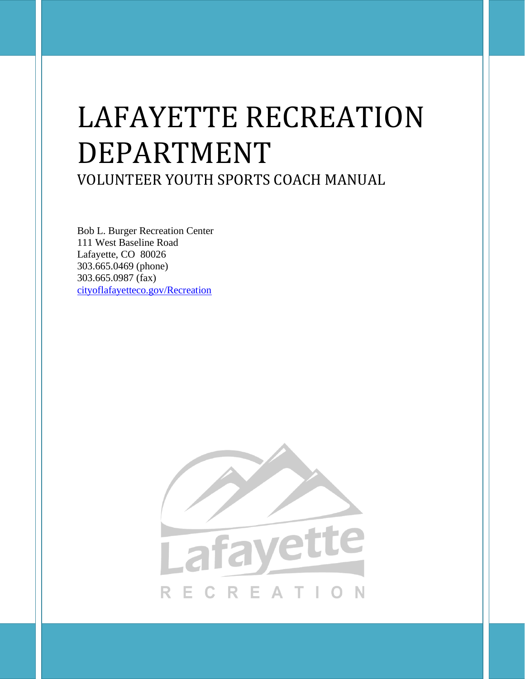# LAFAYETTE RECREATION DEPARTMENT VOLUNTEER YOUTH SPORTS COACH MANUAL

Bob L. Burger Recreation Center 111 West Baseline Road Lafayette, CO 80026 303.665.0469 (phone) 303.665.0987 (fax) [cityoflafayetteco.gov/Recreation](http://www.lafayetteco.gov/Recreation)

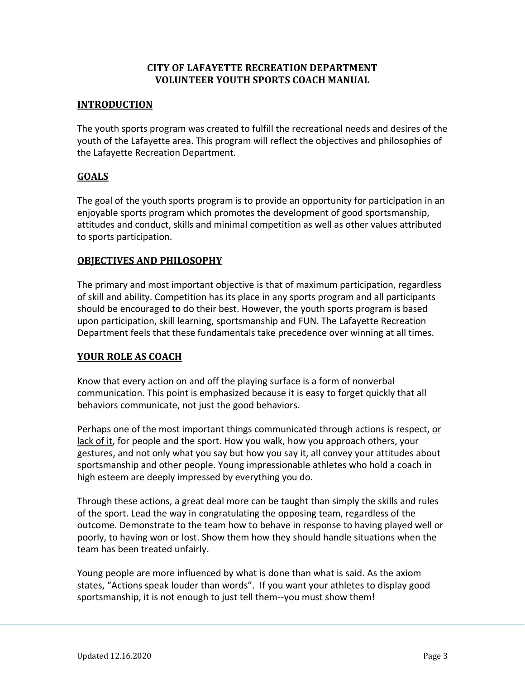# **CITY OF LAFAYETTE RECREATION DEPARTMENT VOLUNTEER YOUTH SPORTS COACH MANUAL**

## **INTRODUCTION**

The youth sports program was created to fulfill the recreational needs and desires of the youth of the Lafayette area. This program will reflect the objectives and philosophies of the Lafayette Recreation Department.

# **GOALS**

The goal of the youth sports program is to provide an opportunity for participation in an enjoyable sports program which promotes the development of good sportsmanship, attitudes and conduct, skills and minimal competition as well as other values attributed to sports participation.

## **OBJECTIVES AND PHILOSOPHY**

The primary and most important objective is that of maximum participation, regardless of skill and ability. Competition has its place in any sports program and all participants should be encouraged to do their best. However, the youth sports program is based upon participation, skill learning, sportsmanship and FUN. The Lafayette Recreation Department feels that these fundamentals take precedence over winning at all times.

# **YOUR ROLE AS COACH**

Know that every action on and off the playing surface is a form of nonverbal communication. This point is emphasized because it is easy to forget quickly that all behaviors communicate, not just the good behaviors.

Perhaps one of the most important things communicated through actions is respect, or lack of it, for people and the sport. How you walk, how you approach others, your gestures, and not only what you say but how you say it, all convey your attitudes about sportsmanship and other people. Young impressionable athletes who hold a coach in high esteem are deeply impressed by everything you do.

Through these actions, a great deal more can be taught than simply the skills and rules of the sport. Lead the way in congratulating the opposing team, regardless of the outcome. Demonstrate to the team how to behave in response to having played well or poorly, to having won or lost. Show them how they should handle situations when the team has been treated unfairly.

Young people are more influenced by what is done than what is said. As the axiom states, "Actions speak louder than words". If you want your athletes to display good sportsmanship, it is not enough to just tell them--you must show them!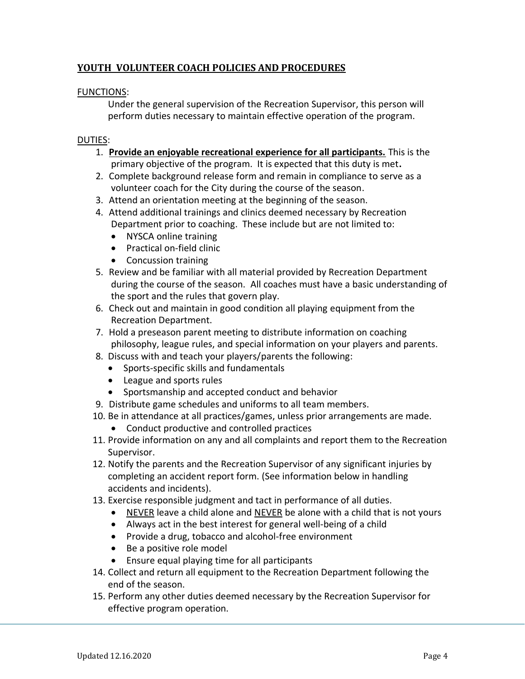# **YOUTH VOLUNTEER COACH POLICIES AND PROCEDURES**

## FUNCTIONS:

Under the general supervision of the Recreation Supervisor, this person will perform duties necessary to maintain effective operation of the program.

## DUTIES:

- 1. **Provide an enjoyable recreational experience for all participants.** This is the primary objective of the program. It is expected that this duty is met**.**
- 2. Complete background release form and remain in compliance to serve as a volunteer coach for the City during the course of the season.
- 3. Attend an orientation meeting at the beginning of the season.
- 4. Attend additional trainings and clinics deemed necessary by Recreation Department prior to coaching. These include but are not limited to:
	- NYSCA online training
	- Practical on-field clinic
	- Concussion training
- 5. Review and be familiar with all material provided by Recreation Department during the course of the season. All coaches must have a basic understanding of the sport and the rules that govern play.
- 6. Check out and maintain in good condition all playing equipment from the Recreation Department.
- 7. Hold a preseason parent meeting to distribute information on coaching philosophy, league rules, and special information on your players and parents.
- 8. Discuss with and teach your players/parents the following:
	- Sports-specific skills and fundamentals
	- League and sports rules
	- Sportsmanship and accepted conduct and behavior
- 9. Distribute game schedules and uniforms to all team members.
- 10. Be in attendance at all practices/games, unless prior arrangements are made.
	- Conduct productive and controlled practices
- 11. Provide information on any and all complaints and report them to the Recreation Supervisor.
- 12. Notify the parents and the Recreation Supervisor of any significant injuries by completing an accident report form. (See information below in handling accidents and incidents).
- 13. Exercise responsible judgment and tact in performance of all duties.
	- NEVER leave a child alone and NEVER be alone with a child that is not yours
	- Always act in the best interest for general well-being of a child
	- Provide a drug, tobacco and alcohol-free environment
	- Be a positive role model
	- Ensure equal playing time for all participants
- 14. Collect and return all equipment to the Recreation Department following the end of the season.
- 15. Perform any other duties deemed necessary by the Recreation Supervisor for effective program operation.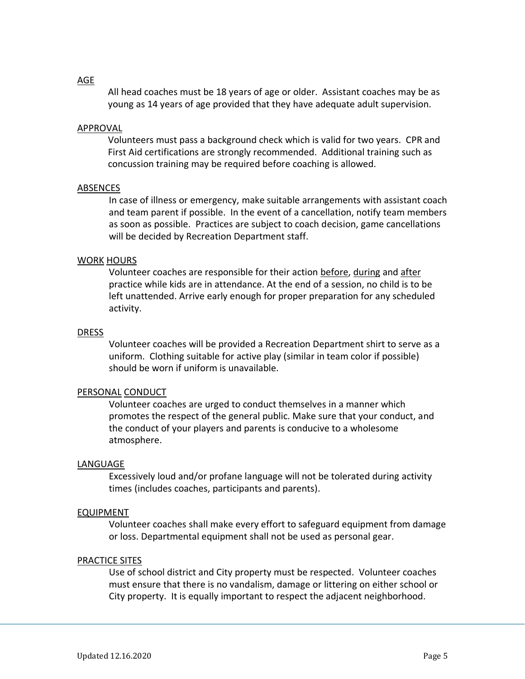#### AGE

All head coaches must be 18 years of age or older. Assistant coaches may be as young as 14 years of age provided that they have adequate adult supervision.

#### APPROVAL

Volunteers must pass a background check which is valid for two years. CPR and First Aid certifications are strongly recommended. Additional training such as concussion training may be required before coaching is allowed.

#### ABSENCES

In case of illness or emergency, make suitable arrangements with assistant coach and team parent if possible.In the event of a cancellation, notify team members as soon as possible. Practices are subject to coach decision, game cancellations will be decided by Recreation Department staff.

#### WORK HOURS

Volunteer coaches are responsible for their action before, during and after practice while kids are in attendance. At the end of a session, no child is to be left unattended. Arrive early enough for proper preparation for any scheduled activity.

#### DRESS

Volunteer coaches will be provided a Recreation Department shirt to serve as a uniform. Clothing suitable for active play (similar in team color if possible) should be worn if uniform is unavailable.

#### PERSONAL CONDUCT

Volunteer coaches are urged to conduct themselves in a manner which promotes the respect of the general public. Make sure that your conduct, and the conduct of your players and parents is conducive to a wholesome atmosphere.

#### LANGUAGE

Excessively loud and/or profane language will not be tolerated during activity times (includes coaches, participants and parents).

#### EQUIPMENT

Volunteer coaches shall make every effort to safeguard equipment from damage or loss. Departmental equipment shall not be used as personal gear.

#### PRACTICE SITES

Use of school district and City property must be respected. Volunteer coaches must ensure that there is no vandalism, damage or littering on either school or City property. It is equally important to respect the adjacent neighborhood.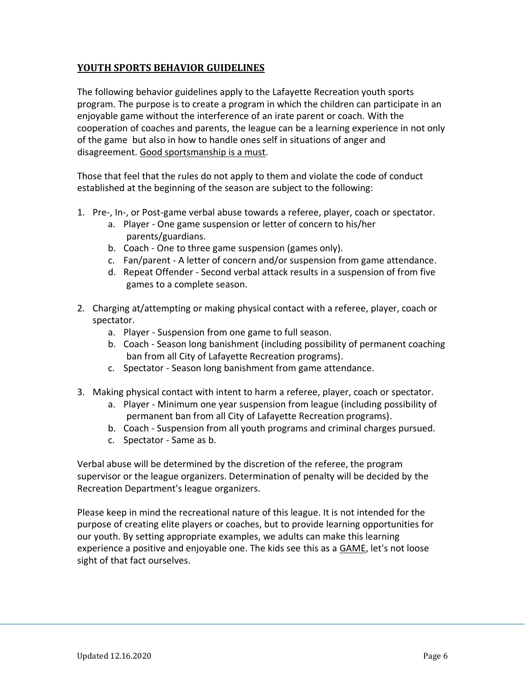# **YOUTH SPORTS BEHAVIOR GUIDELINES**

The following behavior guidelines apply to the Lafayette Recreation youth sports program. The purpose is to create a program in which the children can participate in an enjoyable game without the interference of an irate parent or coach. With the cooperation of coaches and parents, the league can be a learning experience in not only of the game but also in how to handle ones self in situations of anger and disagreement. Good sportsmanship is a must.

Those that feel that the rules do not apply to them and violate the code of conduct established at the beginning of the season are subject to the following:

- 1. Pre-, In-, or Post-game verbal abuse towards a referee, player, coach or spectator.
	- a. Player One game suspension or letter of concern to his/her parents/guardians.
	- b. Coach One to three game suspension (games only).
	- c. Fan/parent A letter of concern and/or suspension from game attendance.
	- d. Repeat Offender Second verbal attack results in a suspension of from five games to a complete season.
- 2. Charging at/attempting or making physical contact with a referee, player, coach or spectator.
	- a. Player Suspension from one game to full season.
	- b. Coach Season long banishment (including possibility of permanent coaching ban from all City of Lafayette Recreation programs).
	- c. Spectator Season long banishment from game attendance.
- 3. Making physical contact with intent to harm a referee, player, coach or spectator.
	- a. Player Minimum one year suspension from league (including possibility of permanent ban from all City of Lafayette Recreation programs).
	- b. Coach Suspension from all youth programs and criminal charges pursued.
	- c. Spectator Same as b.

Verbal abuse will be determined by the discretion of the referee, the program supervisor or the league organizers. Determination of penalty will be decided by the Recreation Department's league organizers.

Please keep in mind the recreational nature of this league. It is not intended for the purpose of creating elite players or coaches, but to provide learning opportunities for our youth. By setting appropriate examples, we adults can make this learning experience a positive and enjoyable one. The kids see this as a **GAME**, let's not loose sight of that fact ourselves.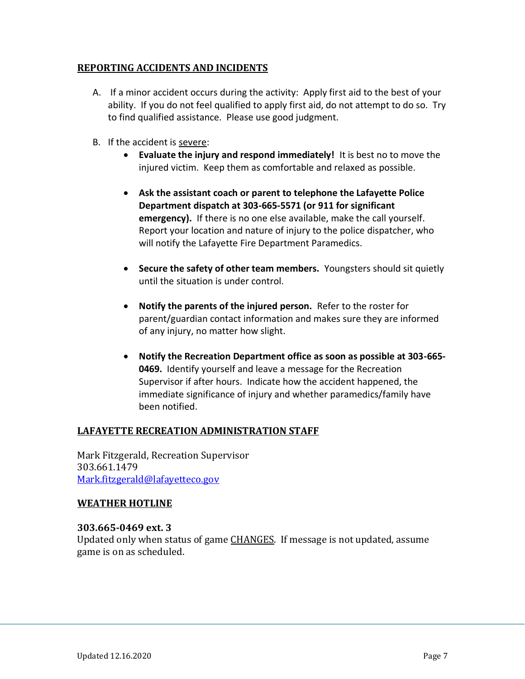# **REPORTING ACCIDENTS AND INCIDENTS**

- A. If a minor accident occurs during the activity: Apply first aid to the best of your ability. If you do not feel qualified to apply first aid, do not attempt to do so. Try to find qualified assistance. Please use good judgment.
- B. If the accident is severe:
	- **Evaluate the injury and respond immediately!** It is best no to move the injured victim. Keep them as comfortable and relaxed as possible.
	- **Ask the assistant coach or parent to telephone the Lafayette Police Department dispatch at 303-665-5571 (or 911 for significant emergency).** If there is no one else available, make the call yourself. Report your location and nature of injury to the police dispatcher, who will notify the Lafayette Fire Department Paramedics.
	- **Secure the safety of other team members.** Youngsters should sit quietly until the situation is under control.
	- **Notify the parents of the injured person.** Refer to the roster for parent/guardian contact information and makes sure they are informed of any injury, no matter how slight.
	- **Notify the Recreation Department office as soon as possible at 303-665- 0469.** Identify yourself and leave a message for the Recreation Supervisor if after hours. Indicate how the accident happened, the immediate significance of injury and whether paramedics/family have been notified.

# **LAFAYETTE RECREATION ADMINISTRATION STAFF**

Mark Fitzgerald, Recreation Supervisor 303.661.1479 [Mark.fitzgerald@lafayetteco.gov](mailto:Mark.Fitzgerald@lafayetteco.gov)

## **WEATHER HOTLINE**

## **303.665-0469 ext. 3**

Updated only when status of game CHANGES. If message is not updated, assume game is on as scheduled.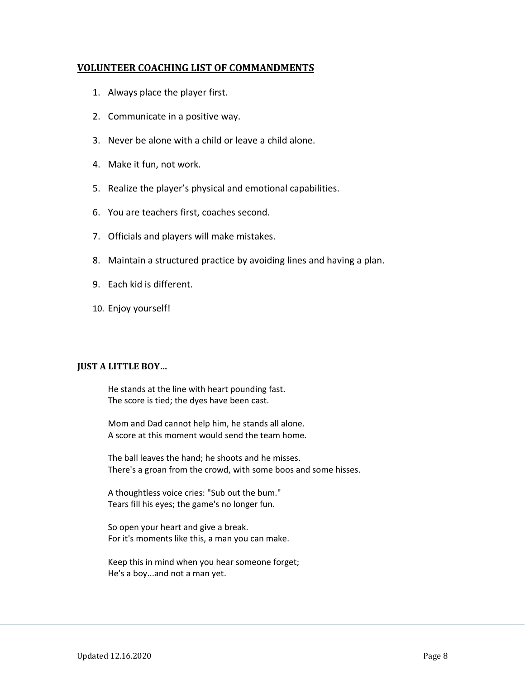## **VOLUNTEER COACHING LIST OF COMMANDMENTS**

- 1. Always place the player first.
- 2. Communicate in a positive way.
- 3. Never be alone with a child or leave a child alone.
- 4. Make it fun, not work.
- 5. Realize the player's physical and emotional capabilities.
- 6. You are teachers first, coaches second.
- 7. Officials and players will make mistakes.
- 8. Maintain a structured practice by avoiding lines and having a plan.
- 9. Each kid is different.
- 10. Enjoy yourself!

## **JUST A LITTLE BOY…**

He stands at the line with heart pounding fast. The score is tied; the dyes have been cast.

Mom and Dad cannot help him, he stands all alone. A score at this moment would send the team home.

The ball leaves the hand; he shoots and he misses. There's a groan from the crowd, with some boos and some hisses.

A thoughtless voice cries: "Sub out the bum." Tears fill his eyes; the game's no longer fun.

So open your heart and give a break. For it's moments like this, a man you can make.

Keep this in mind when you hear someone forget; He's a boy...and not a man yet.